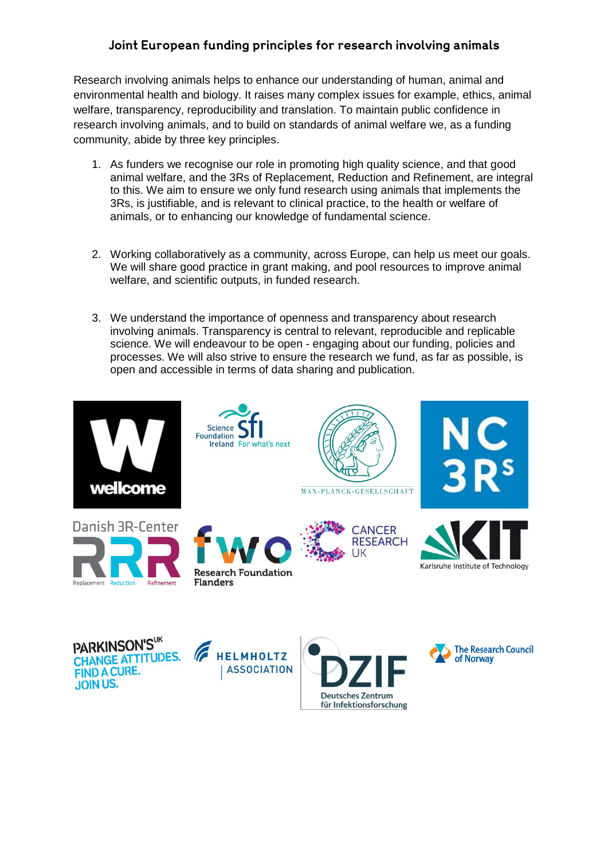## Joint European funding principles for research involving animals

Research involving animals helps to enhance our understanding of human, animal and environmental health and biology. It raises many complex issues for example, ethics, animal welfare, transparency, reproducibility and translation. To maintain public confidence in research involving animals, and to build on standards of animal welfare we, as a funding community, abide by three key principles.

- 1. As funders we recognise our role in promoting high quality science, and that good animal welfare, and the 3Rs of Replacement, Reduction and Refinement, are integral to this. We aim to ensure we only fund research using animals that implements the 3Rs, is justifiable, and is relevant to clinical practice, to the health or welfare of animals, or to enhancing our knowledge of fundamental science.
- 2. Working collaboratively as a community, across Europe, can help us meet our goals. We will share good practice in grant making, and pool resources to improve animal welfare, and scientific outputs, in funded research.
- 3. We understand the importance of openness and transparency about research involving animals. Transparency is central to relevant, reproducible and replicable science. We will endeavour to be open - engaging about our funding, policies and processes. We will also strive to ensure the research we fund, as far as possible, is open and accessible in terms of data sharing and publication.



Deutsches Zentrum für Infektionsforschung

**JOIN US.**